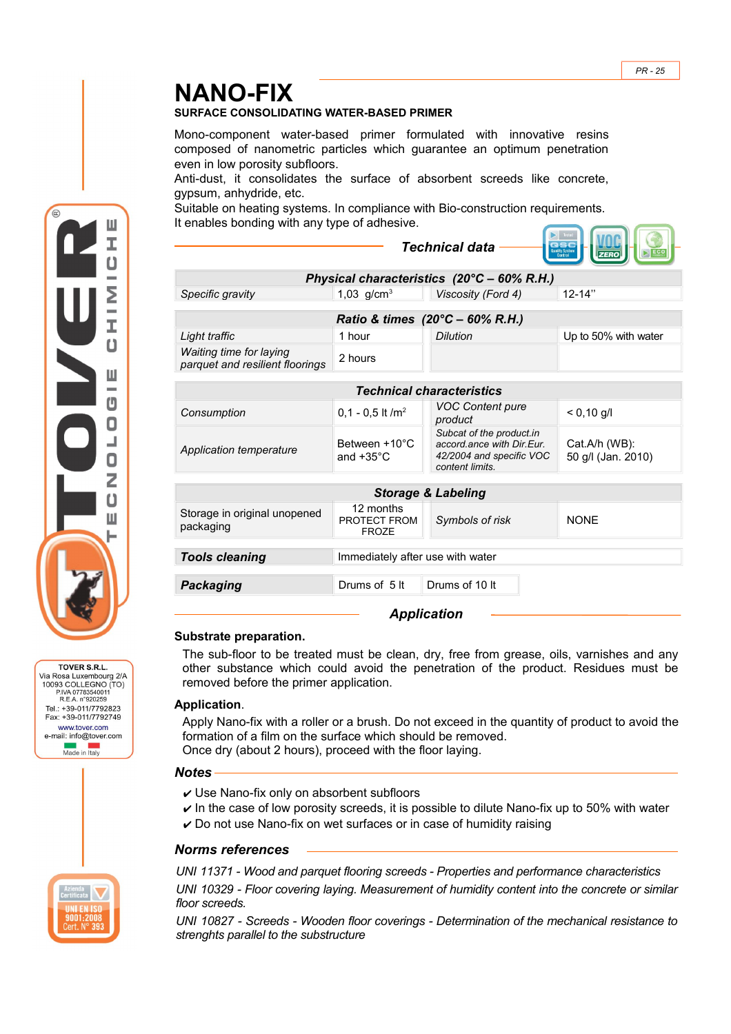# **NANO-FIX**

#### **SURFACE CONSOLIDATING WATER-BASED PRIMER**

Mono-component water-based primer formulated with innovative resins composed of nanometric particles which guarantee an optimum penetration even in low porosity subfloors.

Anti-dust, it consolidates the surface of absorbent screeds like concrete, gypsum, anhydride, etc.

Suitable on heating systems. In compliance with Bio-construction requirements. It enables bonding with any type of adhesive.

|                                                            |                                           | <b>Technical data</b>                                                                                |                                     |
|------------------------------------------------------------|-------------------------------------------|------------------------------------------------------------------------------------------------------|-------------------------------------|
| Physical characteristics $(20^{\circ}C - 60\%$ R.H.)       |                                           |                                                                                                      |                                     |
| Specific gravity                                           | 1,03 $q/cm^{3}$                           | Viscosity (Ford 4)                                                                                   | $12 - 14"$                          |
| Ratio & times $(20^{\circ}C - 60\% \text{ R.H.})$          |                                           |                                                                                                      |                                     |
| Light traffic                                              | 1 hour                                    | <b>Dilution</b>                                                                                      | Up to 50% with water                |
| Waiting time for laying<br>parquet and resilient floorings | 2 hours                                   |                                                                                                      |                                     |
| <b>Technical characteristics</b>                           |                                           |                                                                                                      |                                     |
| Consumption                                                | $0.1 - 0.5$ It /m <sup>2</sup>            | VOC Content pure<br>product                                                                          | $< 0,10 \text{ g/l}$                |
| <b>Application temperature</b>                             | Between +10°C<br>and $+35^{\circ}$ C      | Subcat of the product.in<br>accord.ance with Dir.Eur.<br>42/2004 and specific VOC<br>content limits. | Cat.A/h (WB):<br>50 g/l (Jan. 2010) |
| <b>Storage &amp; Labeling</b>                              |                                           |                                                                                                      |                                     |
| Storage in original unopened<br>packaging                  | 12 months<br>PROTECT FROM<br><b>FROZE</b> | Symbols of risk                                                                                      | <b>NONE</b>                         |
| <b>Tools cleaning</b><br>Immediately after use with water  |                                           |                                                                                                      |                                     |
| <b>Packaging</b>                                           | Drums of 5 It                             | Drums of 10 It                                                                                       |                                     |
|                                                            |                                           | <b>Application</b>                                                                                   |                                     |

# **Substrate preparation.**

The sub-floor to be treated must be clean, dry, free from grease, oils, varnishes and any other substance which could avoid the penetration of the product. Residues must be removed before the primer application.

# **Application**.

Apply Nano-fix with a roller or a brush. Do not exceed in the quantity of product to avoid the formation of a film on the surface which should be removed.

Once dry (about 2 hours), proceed with the floor laying.

#### *Notes*

- $\checkmark$  Use Nano-fix only on absorbent subfloors
- $\triangleright$  In the case of low porosity screeds, it is possible to dilute Nano-fix up to 50% with water  $\checkmark$  Do not use Nano-fix on wet surfaces or in case of humidity raising

# *Norms references*

*UNI 11371 - Wood and parquet flooring screeds - Properties and performance characteristics UNI 10329 - Floor covering laying. Measurement of humidity content into the concrete or similar floor screeds.* 

*UNI 10827 - Screeds - Wooden floor coverings - Determination of the mechanical resistance to strenghts parallel to the substructure* 



TOVER S.R.L. Via Rosa Luxembourg 2/A 10093 COLLEGNO (TO) P.IVA 07783540011<br>R.E.A. n°920259 Tel.: +39-011/7792823 Fax: +39-011/7792749 www.tover.com e-mail: info@tover.com Made in Italy